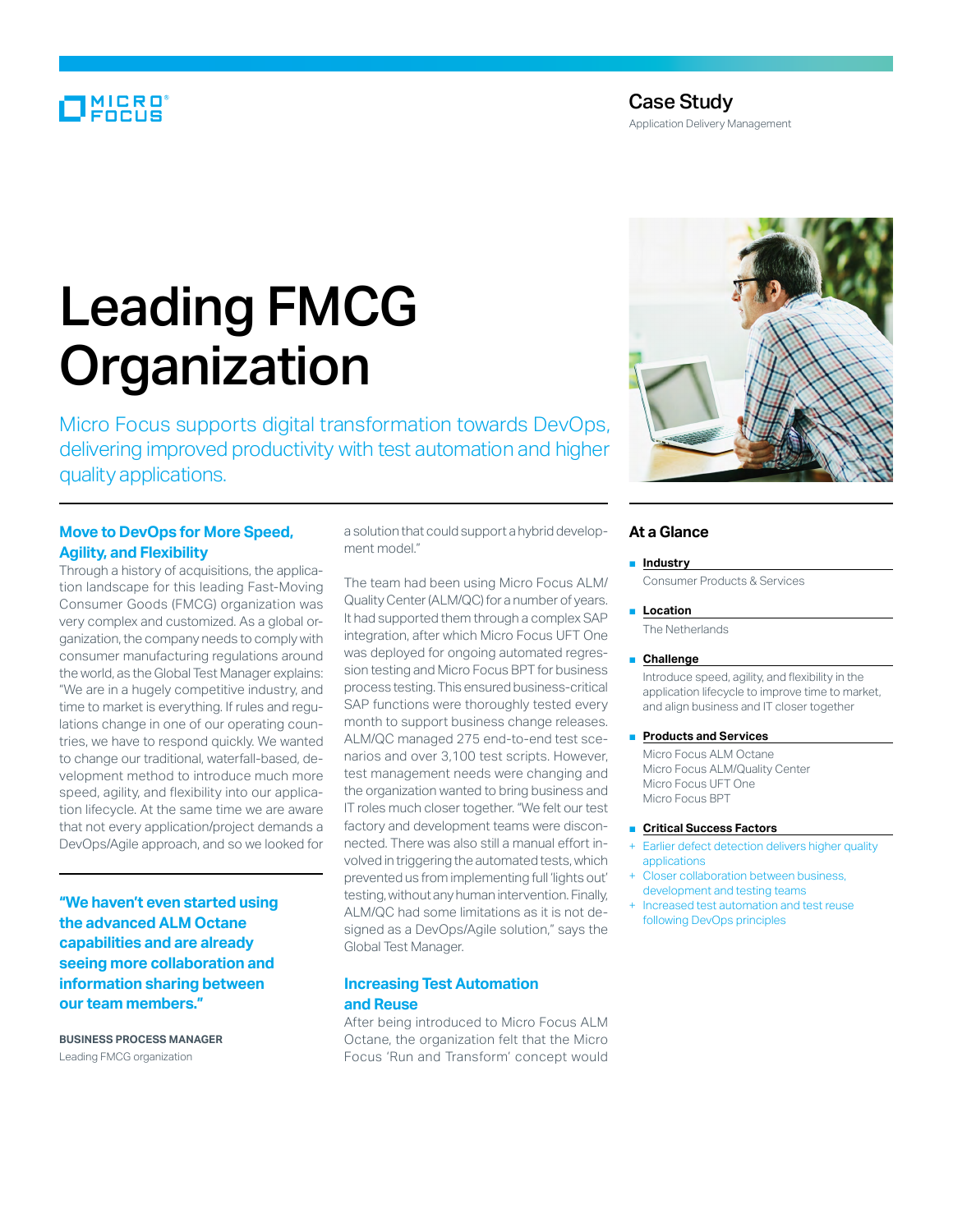# MICRO<br>FOCUS

# Case Study

Application Delivery Management

# Leading FMCG **Organization**

Micro Focus supports digital transformation towards DevOps, delivering improved productivity with test automation and higher quality applications.

## **Move to DevOps for More Speed, Agility, and Flexibility**

Through a history of acquisitions, the application landscape for this leading Fast-Moving Consumer Goods (FMCG) organization was very complex and customized. As a global organization, the company needs to comply with consumer manufacturing regulations around the world, as the Global Test Manager explains: "We are in a hugely competitive industry, and time to market is everything. If rules and regulations change in one of our operating countries, we have to respond quickly. We wanted to change our traditional, waterfall-based, development method to introduce much more speed, agility, and flexibility into our application lifecycle. At the same time we are aware that not every application/project demands a DevOps/Agile approach, and so we looked for

**"We haven't even started using the advanced ALM Octane capabilities and are already seeing more collaboration and information sharing between our team members."**

**BUSINESS PROCESS MANAGER**  Leading FMCG organization

a solution that could support a hybrid development model."

The team had been using Micro Focus ALM/ Quality Center (ALM/QC) for a number of years. It had supported them through a complex SAP integration, after which Micro Focus UFT One was deployed for ongoing automated regression testing and Micro Focus BPT for business process testing. This ensured business-critical SAP functions were thoroughly tested every month to support business change releases. ALM/QC managed 275 end-to-end test scenarios and over 3,100 test scripts. However, test management needs were changing and the organization wanted to bring business and IT roles much closer together. "We felt our test factory and development teams were disconnected. There was also still a manual effort involved in triggering the automated tests, which prevented us from implementing full 'lights out' testing, without any human intervention. Finally, ALM/QC had some limitations as it is not designed as a DevOps/Agile solution," says the Global Test Manager.

### **Increasing Test Automation and Reuse**

After being introduced to Micro Focus ALM Octane, the organization felt that the Micro Focus 'Run and Transform' concept would



# **At a Glance**

#### ■ **Industry**

Consumer Products & Services

#### ■ **Location**

The Netherlands

#### ■ **Challenge**

Introduce speed, agility, and flexibility in the application lifecycle to improve time to market, and align business and IT closer together

■ **Products and Services** 

Micro Focus ALM Octane Micro Focus ALM/Quality Center Micro Focus UFT One Micro Focus BPT

#### ■ **Critical Success Factors**

- Earlier defect detection delivers higher quality applications
- Closer collaboration between business, development and testing teams
- Increased test automation and test reuse following DevOps principles